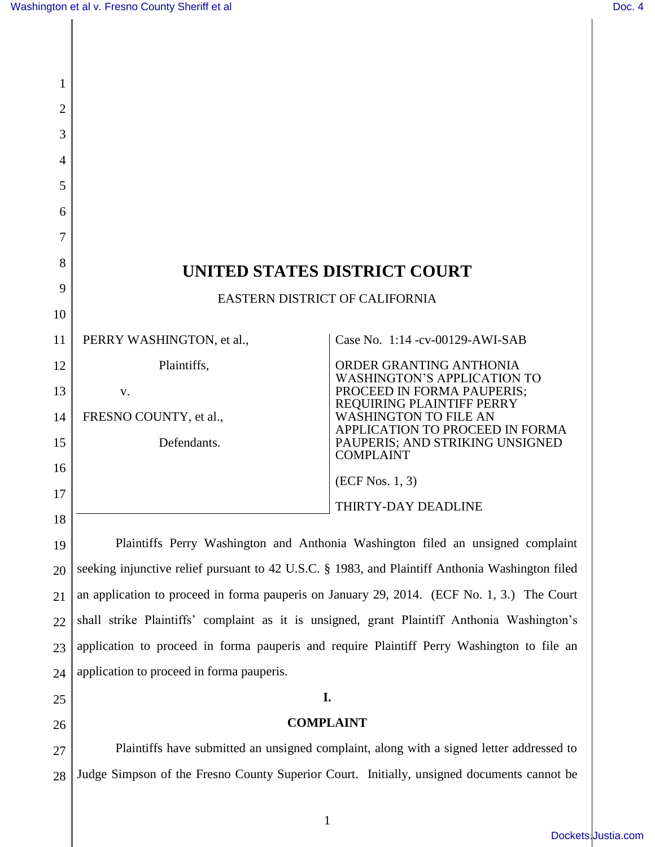$\overline{\phantom{a}}$ 

| 1              |                                                                                                 |                                                                 |  |
|----------------|-------------------------------------------------------------------------------------------------|-----------------------------------------------------------------|--|
| 2              |                                                                                                 |                                                                 |  |
| 3              |                                                                                                 |                                                                 |  |
| $\overline{A}$ |                                                                                                 |                                                                 |  |
| 5              |                                                                                                 |                                                                 |  |
| 6              |                                                                                                 |                                                                 |  |
| 7              |                                                                                                 |                                                                 |  |
| 8              | UNITED STATES DISTRICT COURT                                                                    |                                                                 |  |
| 9              | <b>EASTERN DISTRICT OF CALIFORNIA</b>                                                           |                                                                 |  |
| 10             |                                                                                                 |                                                                 |  |
| 11             | PERRY WASHINGTON, et al.,                                                                       | Case No. 1:14 -cv-00129-AWI-SAB                                 |  |
| 12             | Plaintiffs,                                                                                     | ORDER GRANTING ANTHONIA<br><b>WASHINGTON'S APPLICATION TO</b>   |  |
| 13             | V.                                                                                              | PROCEED IN FORMA PAUPERIS;<br>REQUIRING PLAINTIFF PERRY         |  |
| 14             | FRESNO COUNTY, et al.,                                                                          | <b>WASHINGTON TO FILE AN</b><br>APPLICATION TO PROCEED IN FORMA |  |
| 15             | Defendants.                                                                                     | PAUPERIS; AND STRIKING UNSIGNED<br><b>COMPLAINT</b>             |  |
| 16             |                                                                                                 | $(ECF$ Nos. 1, 3)                                               |  |
| 17             |                                                                                                 | THIRTY-DAY DEADLINE                                             |  |
| 18             |                                                                                                 |                                                                 |  |
| 19             | Plaintiffs Perry Washington and Anthonia Washington filed an unsigned complaint                 |                                                                 |  |
| 20             | seeking injunctive relief pursuant to 42 U.S.C. § 1983, and Plaintiff Anthonia Washington filed |                                                                 |  |
| 21             | an application to proceed in forma pauperis on January 29, 2014. (ECF No. 1, 3.) The Court      |                                                                 |  |
| 22             | shall strike Plaintiffs' complaint as it is unsigned, grant Plaintiff Anthonia Washington's     |                                                                 |  |
| 23             | application to proceed in forma pauperis and require Plaintiff Perry Washington to file an      |                                                                 |  |
| 24             | application to proceed in forma pauperis.                                                       |                                                                 |  |
| 25             | I.                                                                                              |                                                                 |  |
| 26             | <b>COMPLAINT</b>                                                                                |                                                                 |  |
| 27             | Plaintiffs have submitted an unsigned complaint, along with a signed letter addressed to        |                                                                 |  |
| 28             | Judge Simpson of the Fresno County Superior Court. Initially, unsigned documents cannot be      |                                                                 |  |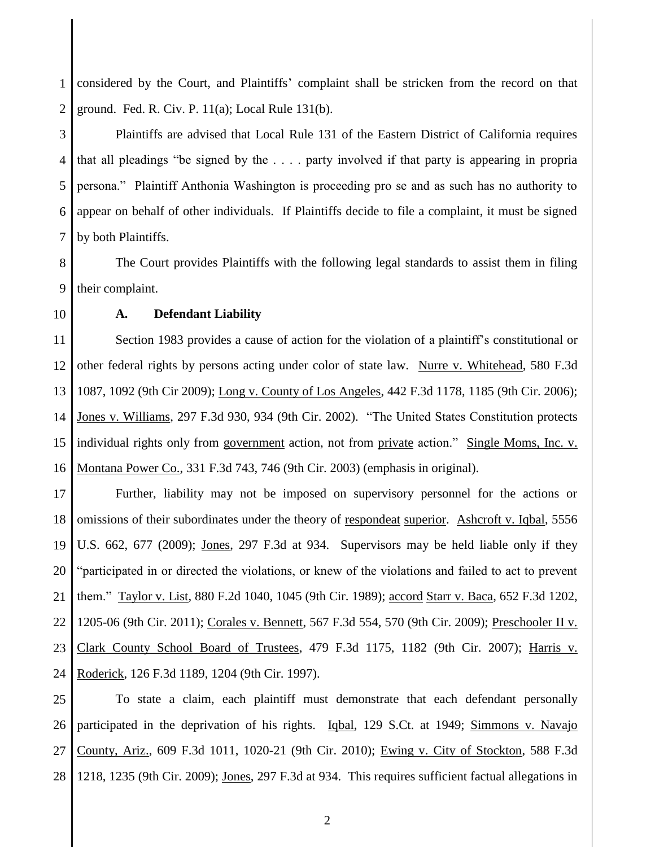1 2 considered by the Court, and Plaintiffs' complaint shall be stricken from the record on that ground. Fed. R. Civ. P. 11(a); Local Rule 131(b).

3 4 5 6 7 Plaintiffs are advised that Local Rule 131 of the Eastern District of California requires that all pleadings "be signed by the . . . . party involved if that party is appearing in propria persona." Plaintiff Anthonia Washington is proceeding pro se and as such has no authority to appear on behalf of other individuals. If Plaintiffs decide to file a complaint, it must be signed by both Plaintiffs.

8 9 The Court provides Plaintiffs with the following legal standards to assist them in filing their complaint.

10

## **A. Defendant Liability**

11 12 13 14 15 16 Section 1983 provides a cause of action for the violation of a plaintiff's constitutional or other federal rights by persons acting under color of state law. Nurre v. Whitehead, 580 F.3d 1087, 1092 (9th Cir 2009); Long v. County of Los Angeles, 442 F.3d 1178, 1185 (9th Cir. 2006); Jones v. Williams, 297 F.3d 930, 934 (9th Cir. 2002). "The United States Constitution protects individual rights only from government action, not from private action." Single Moms, Inc. v. Montana Power Co., 331 F.3d 743, 746 (9th Cir. 2003) (emphasis in original).

17 18 19 20 21 22 23 24 Further, liability may not be imposed on supervisory personnel for the actions or omissions of their subordinates under the theory of respondeat superior. Ashcroft v. Iqbal, 5556 U.S. 662, 677 (2009); Jones, 297 F.3d at 934. Supervisors may be held liable only if they "participated in or directed the violations, or knew of the violations and failed to act to prevent them." Taylor v. List, 880 F.2d 1040, 1045 (9th Cir. 1989); accord Starr v. Baca, 652 F.3d 1202, 1205-06 (9th Cir. 2011); Corales v. Bennett, 567 F.3d 554, 570 (9th Cir. 2009); Preschooler II v. Clark County School Board of Trustees, 479 F.3d 1175, 1182 (9th Cir. 2007); Harris v. Roderick, 126 F.3d 1189, 1204 (9th Cir. 1997).

25 26 27 28 To state a claim, each plaintiff must demonstrate that each defendant personally participated in the deprivation of his rights. Iqbal, 129 S.Ct. at 1949; Simmons v. Navajo County, Ariz., 609 F.3d 1011, 1020-21 (9th Cir. 2010); Ewing v. City of Stockton, 588 F.3d 1218, 1235 (9th Cir. 2009); Jones, 297 F.3d at 934. This requires sufficient factual allegations in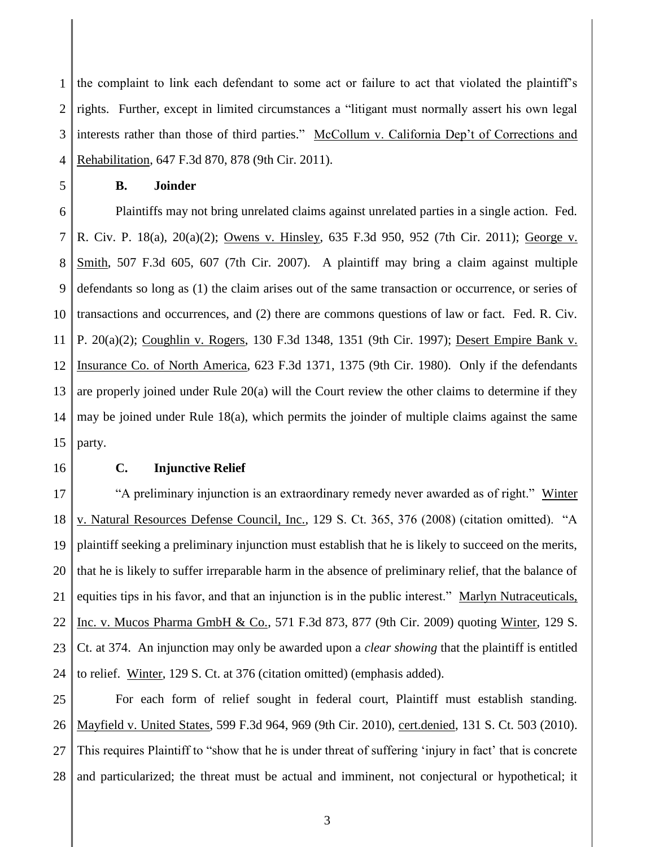1 2 3 4 the complaint to link each defendant to some act or failure to act that violated the plaintiff's rights. Further, except in limited circumstances a "litigant must normally assert his own legal interests rather than those of third parties." McCollum v. California Dep't of Corrections and Rehabilitation, 647 F.3d 870, 878 (9th Cir. 2011).

5

## **B. Joinder**

6 7 8 9 10 11 12 13 14 15 Plaintiffs may not bring unrelated claims against unrelated parties in a single action. Fed. R. Civ. P. 18(a), 20(a)(2); Owens v. Hinsley, 635 F.3d 950, 952 (7th Cir. 2011); George v. Smith, 507 F.3d 605, 607 (7th Cir. 2007). A plaintiff may bring a claim against multiple defendants so long as (1) the claim arises out of the same transaction or occurrence, or series of transactions and occurrences, and (2) there are commons questions of law or fact. Fed. R. Civ. P. 20(a)(2); Coughlin v. Rogers, 130 F.3d 1348, 1351 (9th Cir. 1997); Desert Empire Bank v. Insurance Co. of North America, 623 F.3d 1371, 1375 (9th Cir. 1980). Only if the defendants are properly joined under Rule 20(a) will the Court review the other claims to determine if they may be joined under Rule 18(a), which permits the joinder of multiple claims against the same party.

16

## **C. Injunctive Relief**

17 18 19 20 21 22 23 24 "A preliminary injunction is an extraordinary remedy never awarded as of right." Winter v. Natural Resources Defense Council, Inc., 129 S. Ct. 365, 376 (2008) (citation omitted). "A plaintiff seeking a preliminary injunction must establish that he is likely to succeed on the merits, that he is likely to suffer irreparable harm in the absence of preliminary relief, that the balance of equities tips in his favor, and that an injunction is in the public interest." Marlyn Nutraceuticals, Inc. v. Mucos Pharma GmbH & Co., 571 F.3d 873, 877 (9th Cir. 2009) quoting Winter, 129 S. Ct. at 374. An injunction may only be awarded upon a *clear showing* that the plaintiff is entitled to relief. Winter, 129 S. Ct. at 376 (citation omitted) (emphasis added).

25 26 27 28 For each form of relief sought in federal court, Plaintiff must establish standing. Mayfield v. United States, 599 F.3d 964, 969 (9th Cir. 2010), cert.denied, 131 S. Ct. 503 (2010). This requires Plaintiff to "show that he is under threat of suffering 'injury in fact' that is concrete and particularized; the threat must be actual and imminent, not conjectural or hypothetical; it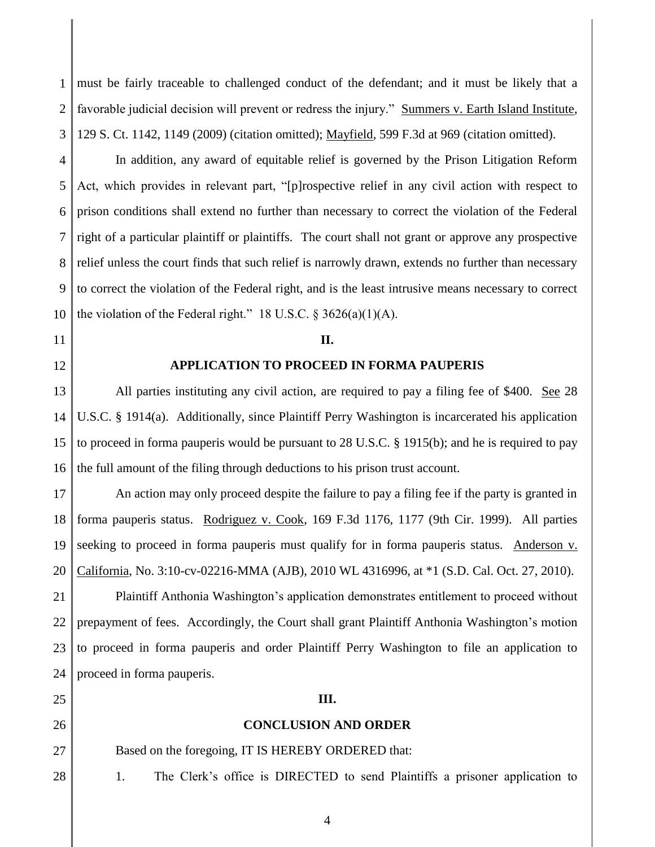1 2 3 must be fairly traceable to challenged conduct of the defendant; and it must be likely that a favorable judicial decision will prevent or redress the injury." Summers v. Earth Island Institute, 129 S. Ct. 1142, 1149 (2009) (citation omitted); Mayfield, 599 F.3d at 969 (citation omitted).

4 5 6 7 8 9 10 In addition, any award of equitable relief is governed by the Prison Litigation Reform Act, which provides in relevant part, "[p]rospective relief in any civil action with respect to prison conditions shall extend no further than necessary to correct the violation of the Federal right of a particular plaintiff or plaintiffs. The court shall not grant or approve any prospective relief unless the court finds that such relief is narrowly drawn, extends no further than necessary to correct the violation of the Federal right, and is the least intrusive means necessary to correct the violation of the Federal right." 18 U.S.C.  $\S$  3626(a)(1)(A).

### **II.**

## **APPLICATION TO PROCEED IN FORMA PAUPERIS**

13 14 15 16 All parties instituting any civil action, are required to pay a filing fee of \$400. See 28 U.S.C. § 1914(a). Additionally, since Plaintiff Perry Washington is incarcerated his application to proceed in forma pauperis would be pursuant to 28 U.S.C. § 1915(b); and he is required to pay the full amount of the filing through deductions to his prison trust account.

17 18 19 20 An action may only proceed despite the failure to pay a filing fee if the party is granted in forma pauperis status. Rodriguez v. Cook, 169 F.3d 1176, 1177 (9th Cir. 1999). All parties seeking to proceed in forma pauperis must qualify for in forma pauperis status. Anderson v. California, No. 3:10-cv-02216-MMA (AJB), 2010 WL 4316996, at \*1 (S.D. Cal. Oct. 27, 2010).

21 22 23 24 Plaintiff Anthonia Washington's application demonstrates entitlement to proceed without prepayment of fees. Accordingly, the Court shall grant Plaintiff Anthonia Washington's motion to proceed in forma pauperis and order Plaintiff Perry Washington to file an application to proceed in forma pauperis.

25

11

12

26 27

28

# **III.**

#### **CONCLUSION AND ORDER**

Based on the foregoing, IT IS HEREBY ORDERED that:

1. The Clerk's office is DIRECTED to send Plaintiffs a prisoner application to

4